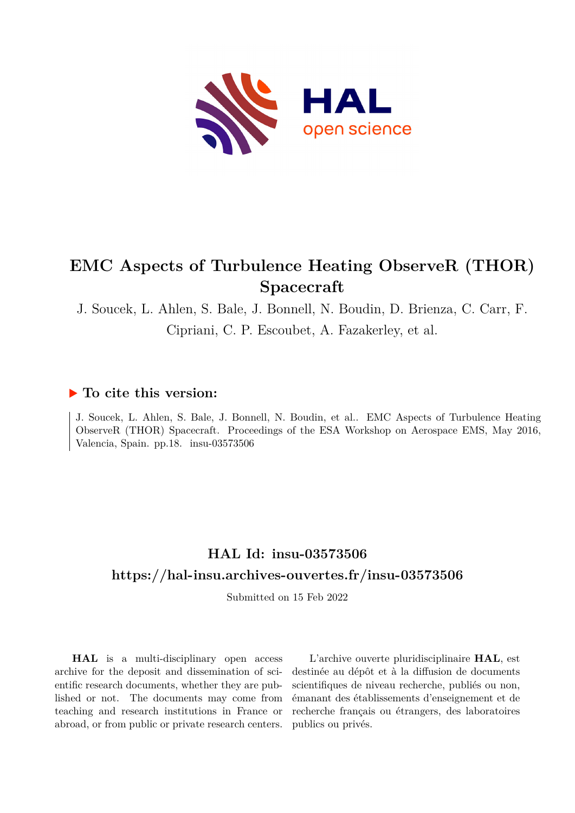

# **EMC Aspects of Turbulence Heating ObserveR (THOR) Spacecraft**

J. Soucek, L. Ahlen, S. Bale, J. Bonnell, N. Boudin, D. Brienza, C. Carr, F. Cipriani, C. P. Escoubet, A. Fazakerley, et al.

### **To cite this version:**

J. Soucek, L. Ahlen, S. Bale, J. Bonnell, N. Boudin, et al.. EMC Aspects of Turbulence Heating ObserveR (THOR) Spacecraft. Proceedings of the ESA Workshop on Aerospace EMS, May 2016, Valencia, Spain. pp.18. insu-03573506

## **HAL Id: insu-03573506 <https://hal-insu.archives-ouvertes.fr/insu-03573506>**

Submitted on 15 Feb 2022

**HAL** is a multi-disciplinary open access archive for the deposit and dissemination of scientific research documents, whether they are published or not. The documents may come from teaching and research institutions in France or abroad, or from public or private research centers.

L'archive ouverte pluridisciplinaire **HAL**, est destinée au dépôt et à la diffusion de documents scientifiques de niveau recherche, publiés ou non, émanant des établissements d'enseignement et de recherche français ou étrangers, des laboratoires publics ou privés.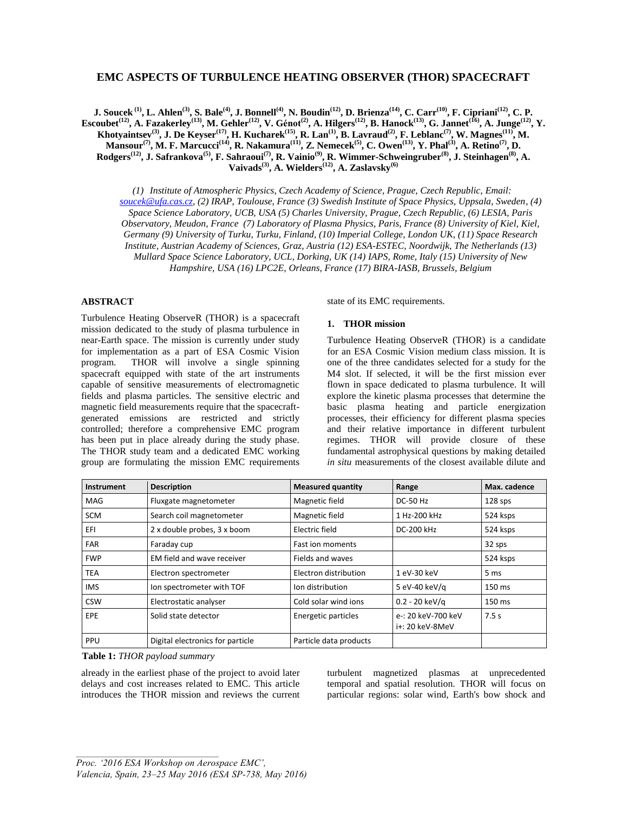#### **EMC ASPECTS OF TURBULENCE HEATING OBSERVER (THOR) SPACECRAFT**

J. Soucek  $^{(1)}$ , L. Ahlen $^{(3)}$ , S. Bale $^{(4)}$ , J. Bonnell $^{(4)}$ , N. Boudin $^{(12)}$ , D. Brienza $^{(14)}$ , C. Carr $^{(10)}$ , F. Cipriani $^{(12)}$ , C. P. Escoubet<sup>(12)</sup>, A. Fazakerley<sup>(13)</sup>, M. Gehler<sup>(12)</sup>, V. Génot<sup>(2)</sup>, A. Hilgers<sup>(12)</sup>, B. Hanock<sup>(13)</sup>, G. Jannet<sup>(16)</sup>, A. Junge<sup>(12)</sup>, Y. **Khotyaintsev(3), J. De Keyser(17), H. Kucharek(15), R. Lan(1), B. Lavraud(2), F. Leblanc(7), W. Magnes(11), M. Mansour(7), M. F. Marcucci(14), R. Nakamura(11), Z. Nemecek(5), C. Owen(13), Y. Phal(3), A. Retino(7), D. Rodgers(12), J. Safrankova(5), F. Sahraoui(7), R. Vainio(9), R. Wimmer-Schweingruber(8), J. Steinhagen(8), A. Vaivads(3), A. Wielders(12), A. Zaslavsky(6)**

*(1) Institute of Atmospheric Physics, Czech Academy of Science, Prague, Czech Republic, Email: soucek@ufa.cas.cz, (2) IRAP, Toulouse, France (3) Swedish Institute of Space Physics, Uppsala, Sweden, (4) Space Science Laboratory, UCB, USA (5) Charles University, Prague, Czech Republic, (6) LESIA, Paris Observatory, Meudon, France (7) Laboratory of Plasma Physics, Paris, France (8) University of Kiel, Kiel, Germany (9) University of Turku, Turku, Finland, (10) Imperial College, London UK, (11) Space Research Institute, Austrian Academy of Sciences, Graz, Austria (12) ESA-ESTEC, Noordwijk, The Netherlands (13) Mullard Space Science Laboratory, UCL, Dorking, UK (14) IAPS, Rome, Italy (15) University of New Hampshire, USA (16) LPC2E, Orleans, France (17) BIRA-IASB, Brussels, Belgium* 

#### **ABSTRACT**

Turbulence Heating ObserveR (THOR) is a spacecraft mission dedicated to the study of plasma turbulence in near-Earth space. The mission is currently under study for implementation as a part of ESA Cosmic Vision program. THOR will involve a single spinning spacecraft equipped with state of the art instruments capable of sensitive measurements of electromagnetic fields and plasma particles. The sensitive electric and magnetic field measurements require that the spacecraftgenerated emissions are restricted and strictly controlled; therefore a comprehensive EMC program has been put in place already during the study phase. The THOR study team and a dedicated EMC working group are formulating the mission EMC requirements state of its EMC requirements.

#### **1. THOR mission**

Turbulence Heating ObserveR (THOR) is a candidate for an ESA Cosmic Vision medium class mission. It is one of the three candidates selected for a study for the M4 slot. If selected, it will be the first mission ever flown in space dedicated to plasma turbulence. It will explore the kinetic plasma processes that determine the basic plasma heating and particle energization processes, their efficiency for different plasma species and their relative importance in different turbulent regimes. THOR will provide closure of these fundamental astrophysical questions by making detailed *in situ* measurements of the closest available dilute and

| <b>Instrument</b> | <b>Description</b>               | <b>Measured quantity</b> | Range                                 | Max. cadence    |
|-------------------|----------------------------------|--------------------------|---------------------------------------|-----------------|
| <b>MAG</b>        | Fluxgate magnetometer            | Magnetic field           | <b>DC-50 Hz</b>                       | $128$ sps       |
| <b>SCM</b>        | Search coil magnetometer         | Magnetic field           | 1 Hz-200 kHz                          | 524 ksps        |
| EFI               | 2 x double probes, 3 x boom      | Electric field           | DC-200 kHz                            | 524 ksps        |
| <b>FAR</b>        | Faraday cup                      | Fast ion moments         |                                       | 32 sps          |
| <b>FWP</b>        | EM field and wave receiver       | Fields and waves         |                                       | 524 ksps        |
| TEA               | Electron spectrometer            | Electron distribution    | 1 eV-30 keV                           | 5 <sub>ms</sub> |
| <b>IMS</b>        | Ion spectrometer with TOF        | Ion distribution         | 5 eV-40 keV/g                         | 150 ms          |
| <b>CSW</b>        | Electrostatic analyser           | Cold solar wind jons     | $0.2 - 20 \text{ keV/q}$              | 150 ms          |
| EPE.              | Solid state detector             | Energetic particles      | e-: 20 keV-700 keV<br>i+: 20 keV-8MeV | 7.5s            |
| PPU               | Digital electronics for particle | Particle data products   |                                       |                 |

**Table 1:** *THOR payload summary*

already in the earliest phase of the project to avoid later delays and cost increases related to EMC. This article introduces the THOR mission and reviews the current

turbulent magnetized plasmas at unprecedented temporal and spatial resolution. THOR will focus on particular regions: solar wind, Earth's bow shock and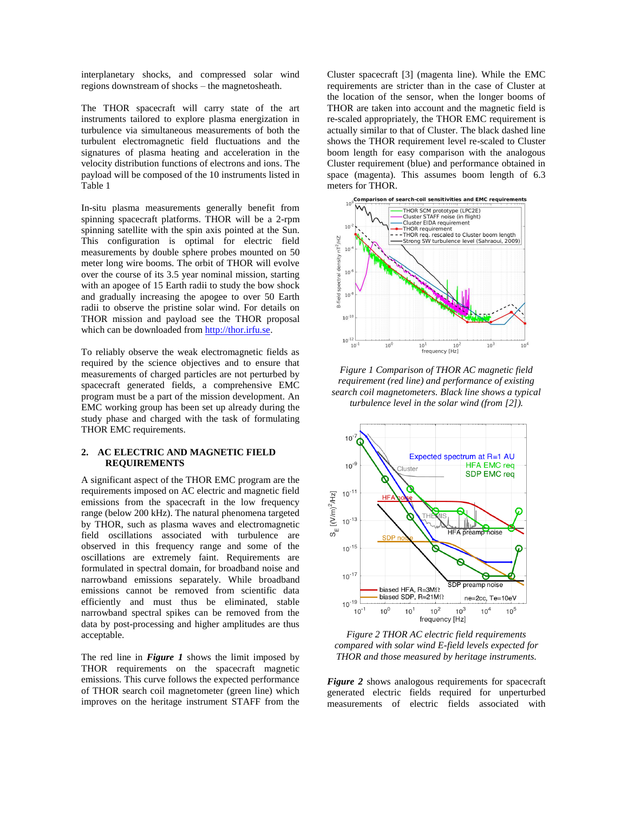interplanetary shocks, and compressed solar wind regions downstream of shocks – the magnetosheath.

The THOR spacecraft will carry state of the art instruments tailored to explore plasma energization in turbulence via simultaneous measurements of both the turbulent electromagnetic field fluctuations and the signatures of plasma heating and acceleration in the velocity distribution functions of electrons and ions. The payload will be composed of the 10 instruments listed in Table 1

In-situ plasma measurements generally benefit from spinning spacecraft platforms. THOR will be a 2-rpm spinning satellite with the spin axis pointed at the Sun. This configuration is optimal for electric field measurements by double sphere probes mounted on 50 meter long wire booms. The orbit of THOR will evolve over the course of its 3.5 year nominal mission, starting with an apogee of 15 Earth radii to study the bow shock and gradually increasing the apogee to over 50 Earth radii to observe the pristine solar wind. For details on THOR mission and payload see the THOR proposal which can be downloaded from http://thor.irfu.se.

To reliably observe the weak electromagnetic fields as required by the science objectives and to ensure that measurements of charged particles are not perturbed by spacecraft generated fields, a comprehensive EMC program must be a part of the mission development. An EMC working group has been set up already during the study phase and charged with the task of formulating THOR EMC requirements.

#### **2. AC ELECTRIC AND MAGNETIC FIELD REQUIREMENTS**

A significant aspect of the THOR EMC program are the requirements imposed on AC electric and magnetic field emissions from the spacecraft in the low frequency range (below 200 kHz). The natural phenomena targeted by THOR, such as plasma waves and electromagnetic field oscillations associated with turbulence are observed in this frequency range and some of the oscillations are extremely faint. Requirements are formulated in spectral domain, for broadband noise and narrowband emissions separately. While broadband emissions cannot be removed from scientific data efficiently and must thus be eliminated, stable narrowband spectral spikes can be removed from the data by post-processing and higher amplitudes are thus acceptable.

The red line in *Figure 1* shows the limit imposed by THOR requirements on the spacecraft magnetic emissions. This curve follows the expected performance of THOR search coil magnetometer (green line) which improves on the heritage instrument STAFF from the Cluster spacecraft [3] (magenta line). While the EMC requirements are stricter than in the case of Cluster at the location of the sensor, when the longer booms of THOR are taken into account and the magnetic field is re-scaled appropriately, the THOR EMC requirement is actually similar to that of Cluster. The black dashed line shows the THOR requirement level re-scaled to Cluster boom length for easy comparison with the analogous Cluster requirement (blue) and performance obtained in space (magenta). This assumes boom length of 6.3 meters for THOR.



*Figure 1 Comparison of THOR AC magnetic field requirement (red line) and performance of existing search coil magnetometers. Black line shows a typical turbulence level in the solar wind (from [2]).* 



*Figure 2 THOR AC electric field requirements compared with solar wind E-field levels expected for THOR and those measured by heritage instruments.*

*Figure 2* shows analogous requirements for spacecraft generated electric fields required for unperturbed measurements of electric fields associated with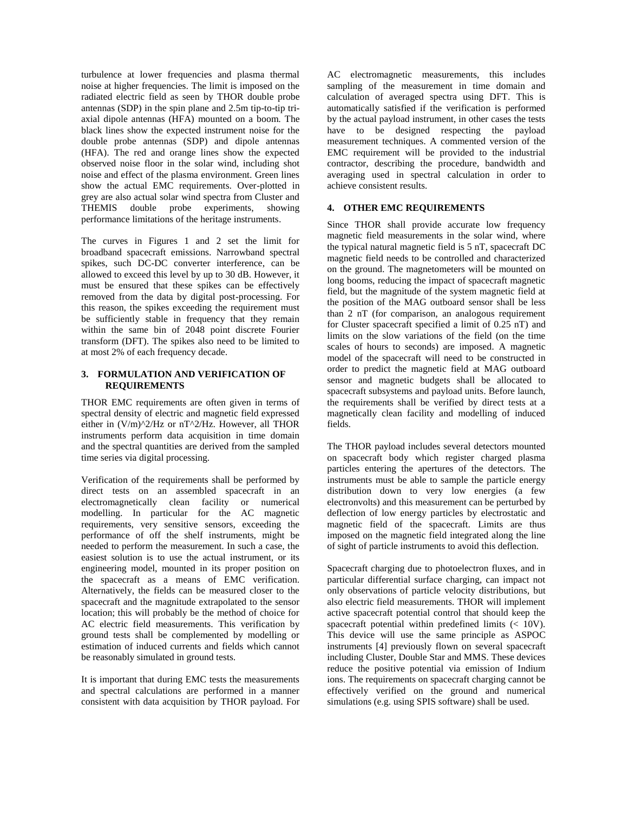turbulence at lower frequencies and plasma thermal noise at higher frequencies. The limit is imposed on the radiated electric field as seen by THOR double probe antennas (SDP) in the spin plane and 2.5m tip-to-tip triaxial dipole antennas (HFA) mounted on a boom. The black lines show the expected instrument noise for the double probe antennas (SDP) and dipole antennas (HFA). The red and orange lines show the expected observed noise floor in the solar wind, including shot noise and effect of the plasma environment. Green lines show the actual EMC requirements. Over-plotted in grey are also actual solar wind spectra from Cluster and THEMIS double probe experiments, showing performance limitations of the heritage instruments.

The curves in Figures 1 and 2 set the limit for broadband spacecraft emissions. Narrowband spectral spikes, such DC-DC converter interference, can be allowed to exceed this level by up to 30 dB. However, it must be ensured that these spikes can be effectively removed from the data by digital post-processing. For this reason, the spikes exceeding the requirement must be sufficiently stable in frequency that they remain within the same bin of 2048 point discrete Fourier transform (DFT). The spikes also need to be limited to at most 2% of each frequency decade.

#### **3. FORMULATION AND VERIFICATION OF REQUIREMENTS**

THOR EMC requirements are often given in terms of spectral density of electric and magnetic field expressed either in (V/m)^2/Hz or nT^2/Hz. However, all THOR instruments perform data acquisition in time domain and the spectral quantities are derived from the sampled time series via digital processing.

Verification of the requirements shall be performed by direct tests on an assembled spacecraft in an electromagnetically clean facility or numerical modelling. In particular for the AC magnetic requirements, very sensitive sensors, exceeding the performance of off the shelf instruments, might be needed to perform the measurement. In such a case, the easiest solution is to use the actual instrument, or its engineering model, mounted in its proper position on the spacecraft as a means of EMC verification. Alternatively, the fields can be measured closer to the spacecraft and the magnitude extrapolated to the sensor location; this will probably be the method of choice for AC electric field measurements. This verification by ground tests shall be complemented by modelling or estimation of induced currents and fields which cannot be reasonably simulated in ground tests.

It is important that during EMC tests the measurements and spectral calculations are performed in a manner consistent with data acquisition by THOR payload. For AC electromagnetic measurements, this includes sampling of the measurement in time domain and calculation of averaged spectra using DFT. This is automatically satisfied if the verification is performed by the actual payload instrument, in other cases the tests have to be designed respecting the payload measurement techniques. A commented version of the EMC requirement will be provided to the industrial contractor, describing the procedure, bandwidth and averaging used in spectral calculation in order to achieve consistent results.

#### **4. OTHER EMC REQUIREMENTS**

Since THOR shall provide accurate low frequency magnetic field measurements in the solar wind, where the typical natural magnetic field is 5 nT, spacecraft DC magnetic field needs to be controlled and characterized on the ground. The magnetometers will be mounted on long booms, reducing the impact of spacecraft magnetic field, but the magnitude of the system magnetic field at the position of the MAG outboard sensor shall be less than 2 nT (for comparison, an analogous requirement for Cluster spacecraft specified a limit of 0.25 nT) and limits on the slow variations of the field (on the time scales of hours to seconds) are imposed. A magnetic model of the spacecraft will need to be constructed in order to predict the magnetic field at MAG outboard sensor and magnetic budgets shall be allocated to spacecraft subsystems and payload units. Before launch, the requirements shall be verified by direct tests at a magnetically clean facility and modelling of induced fields.

The THOR payload includes several detectors mounted on spacecraft body which register charged plasma particles entering the apertures of the detectors. The instruments must be able to sample the particle energy distribution down to very low energies (a few electronvolts) and this measurement can be perturbed by deflection of low energy particles by electrostatic and magnetic field of the spacecraft. Limits are thus imposed on the magnetic field integrated along the line of sight of particle instruments to avoid this deflection.

Spacecraft charging due to photoelectron fluxes, and in particular differential surface charging, can impact not only observations of particle velocity distributions, but also electric field measurements. THOR will implement active spacecraft potential control that should keep the spacecraft potential within predefined limits  $(< 10V$ ). This device will use the same principle as ASPOC instruments [4] previously flown on several spacecraft including Cluster, Double Star and MMS. These devices reduce the positive potential via emission of Indium ions. The requirements on spacecraft charging cannot be effectively verified on the ground and numerical simulations (e.g. using SPIS software) shall be used.